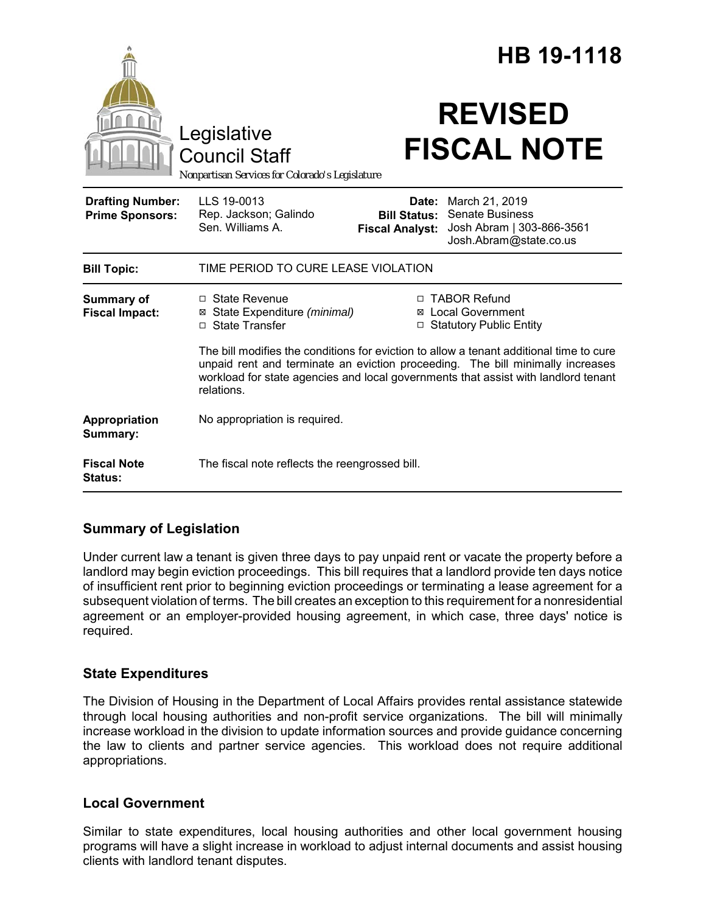|                                                   | Legislative<br><b>Council Staff</b><br>Nonpartisan Services for Colorado's Legislature                                                                                                                                                                                        |                                                                   | HB 19-1118<br><b>REVISED</b><br><b>FISCAL NOTE</b>                                                    |
|---------------------------------------------------|-------------------------------------------------------------------------------------------------------------------------------------------------------------------------------------------------------------------------------------------------------------------------------|-------------------------------------------------------------------|-------------------------------------------------------------------------------------------------------|
| <b>Drafting Number:</b><br><b>Prime Sponsors:</b> | LLS 19-0013<br>Rep. Jackson; Galindo<br>Sen. Williams A.                                                                                                                                                                                                                      | <b>Bill Status:</b><br><b>Fiscal Analyst:</b>                     | <b>Date:</b> March 21, 2019<br>Senate Business<br>Josh Abram   303-866-3561<br>Josh.Abram@state.co.us |
| <b>Bill Topic:</b>                                | TIME PERIOD TO CURE LEASE VIOLATION                                                                                                                                                                                                                                           |                                                                   |                                                                                                       |
| <b>Summary of</b><br><b>Fiscal Impact:</b>        | $\Box$ State Revenue<br>⊠ State Expenditure (minimal)<br>□ State Transfer                                                                                                                                                                                                     | □ TABOR Refund<br>⊠ Local Government<br>□ Statutory Public Entity |                                                                                                       |
|                                                   | The bill modifies the conditions for eviction to allow a tenant additional time to cure<br>unpaid rent and terminate an eviction proceeding. The bill minimally increases<br>workload for state agencies and local governments that assist with landlord tenant<br>relations. |                                                                   |                                                                                                       |
| Appropriation<br>Summary:                         | No appropriation is required.                                                                                                                                                                                                                                                 |                                                                   |                                                                                                       |
| <b>Fiscal Note</b><br><b>Status:</b>              | The fiscal note reflects the reengrossed bill.                                                                                                                                                                                                                                |                                                                   |                                                                                                       |

# **Summary of Legislation**

Under current law a tenant is given three days to pay unpaid rent or vacate the property before a landlord may begin eviction proceedings. This bill requires that a landlord provide ten days notice of insufficient rent prior to beginning eviction proceedings or terminating a lease agreement for a subsequent violation of terms. The bill creates an exception to this requirement for a nonresidential agreement or an employer-provided housing agreement, in which case, three days' notice is required.

### **State Expenditures**

The Division of Housing in the Department of Local Affairs provides rental assistance statewide through local housing authorities and non-profit service organizations. The bill will minimally increase workload in the division to update information sources and provide guidance concerning the law to clients and partner service agencies. This workload does not require additional appropriations.

### **Local Government**

Similar to state expenditures, local housing authorities and other local government housing programs will have a slight increase in workload to adjust internal documents and assist housing clients with landlord tenant disputes.